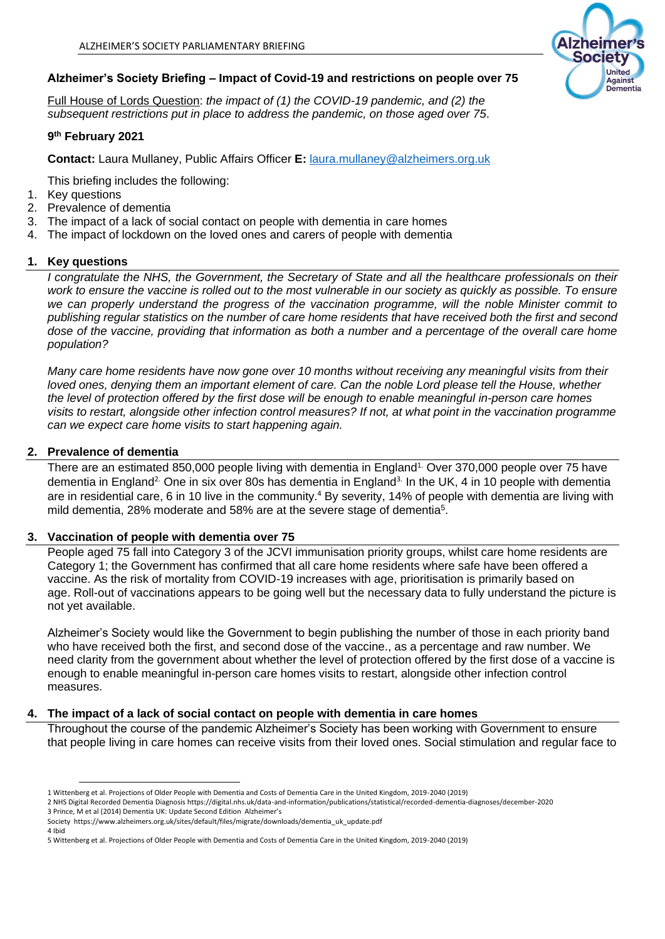# **Alzheimer's Society Briefing – Impact of Covid-19 and restrictions on people over 75**

Full House of Lords Question: *the impact of (1) the COVID-19 pandemic, and (2) the subsequent restrictions put in place to address the pandemic, on those aged over 75*.

## **9 th February 2021**

**Contact:** Laura Mullaney, Public Affairs Officer **E:** [laura.mullaney@alzheimers.org.uk](mailto:laura.mullaney@alzheimers.org.uk)

This briefing includes the following:

- 1. Key questions
- 2. Prevalence of dementia
- 3. The impact of a lack of social contact on people with dementia in care homes
- 4. The impact of lockdown on the loved ones and carers of people with dementia

#### **1. Key questions**

*I congratulate the NHS, the Government, the Secretary of State and all the healthcare professionals on their*  work to ensure the vaccine is rolled out to the most vulnerable in our society as quickly as possible. To ensure *we can properly understand the progress of the vaccination programme, will the noble Minister commit to publishing regular statistics on the number of care home residents that have received both the first and second dose of the vaccine, providing that information as both a number and a percentage of the overall care home population?*

*Many care home residents have now gone over 10 months without receiving any meaningful visits from their loved ones, denying them an important element of care. Can the noble Lord please tell the House, whether the level of protection offered by the first dose will be enough to enable meaningful in-person care homes visits to restart, alongside other infection control measures? If not, at what point in the vaccination programme can we expect care home visits to start happening again.*

## **2. Prevalence of dementia**

There are an estimated 850,000 people living with dementia in England<sup>1.</sup> Over 370,000 people over 75 have dementia in England<sup>2.</sup> One in six over 80s has dementia in England<sup>3.</sup> In the UK, 4 in 10 people with dementia are in residential care, 6 in 10 live in the community.<sup>4</sup> By severity, 14% of people with dementia are living with mild dementia, 28% moderate and 58% are at the severe stage of dementia<sup>5</sup>.

## **3. Vaccination of people with dementia over 75**

People aged 75 fall into Category 3 of the JCVI immunisation priority groups, whilst care home residents are Category 1; the Government has confirmed that all care home residents where safe have been offered a vaccine. As the risk of mortality from COVID-19 increases with age, prioritisation is primarily based on age. Roll-out of vaccinations appears to be going well but the necessary data to fully understand the picture is not yet available.

Alzheimer's Society would like the Government to begin publishing the number of those in each priority band who have received both the first, and second dose of the vaccine., as a percentage and raw number. We need clarity from the government about whether the level of protection offered by the first dose of a vaccine is enough to enable meaningful in-person care homes visits to restart, alongside other infection control measures.

#### **4. The impact of a lack of social contact on people with dementia in care homes**

Throughout the course of the pandemic Alzheimer's Society has been working with Government to ensure that people living in care homes can receive visits from their loved ones. Social stimulation and regular face to

4 Ibid



<sup>1</sup> Wittenberg et al. Projections of Older People with Dementia and Costs of Dementia Care in the United Kingdom, 2019-2040 (2019)

<sup>2</sup> NHS Digital Recorded Dementia Diagnosis https://digital.nhs.uk/data-and-information/publications/statistical/recorded-dementia-diagnoses/december-2020 3 Prince, M et al (2014) Dementia UK: Update Second Edition Alzheimer's

Society [https://www.alzheimers.org.uk/sites/default/files/migrate/downloads/dementia\\_uk\\_update.pdf](https://www.alzheimers.org.uk/sites/default/files/migrate/downloads/dementia_uk_update.pdf)

<sup>5</sup> Wittenberg et al. Projections of Older People with Dementia and Costs of Dementia Care in the United Kingdom, 2019-2040 (2019)